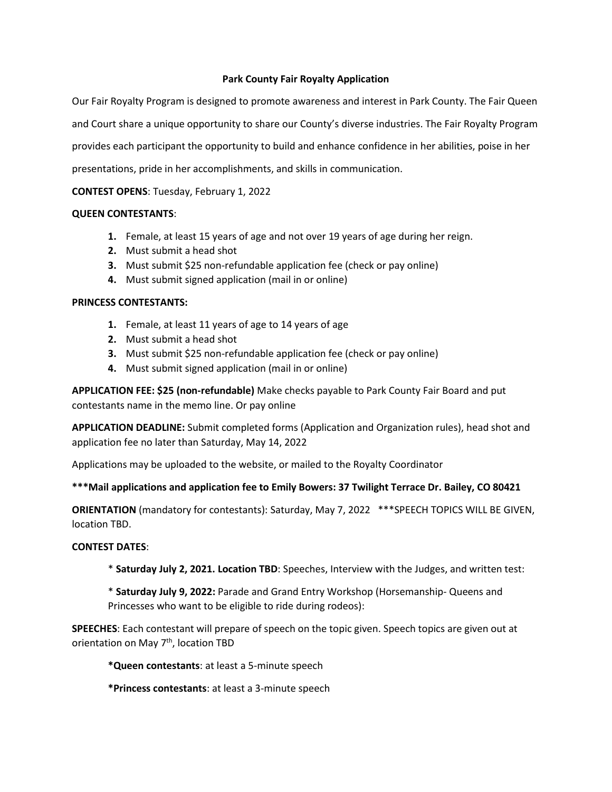## **Park County Fair Royalty Application**

Our Fair Royalty Program is designed to promote awareness and interest in Park County. The Fair Queen and Court share a unique opportunity to share our County's diverse industries. The Fair Royalty Program provides each participant the opportunity to build and enhance confidence in her abilities, poise in her presentations, pride in her accomplishments, and skills in communication.

# **CONTEST OPENS**: Tuesday, February 1, 2022

## **QUEEN CONTESTANTS**:

- **1.** Female, at least 15 years of age and not over 19 years of age during her reign.
- **2.** Must submit a head shot
- **3.** Must submit \$25 non-refundable application fee (check or pay online)
- **4.** Must submit signed application (mail in or online)

## **PRINCESS CONTESTANTS:**

- **1.** Female, at least 11 years of age to 14 years of age
- **2.** Must submit a head shot
- **3.** Must submit \$25 non-refundable application fee (check or pay online)
- **4.** Must submit signed application (mail in or online)

**APPLICATION FEE: \$25 (non-refundable)** Make checks payable to Park County Fair Board and put contestants name in the memo line. Or pay online

**APPLICATION DEADLINE:** Submit completed forms (Application and Organization rules), head shot and application fee no later than Saturday, May 14, 2022

Applications may be uploaded to the website, or mailed to the Royalty Coordinator

## **\*\*\*Mail applications and application fee to Emily Bowers: 37 Twilight Terrace Dr. Bailey, CO 80421**

**ORIENTATION** (mandatory for contestants): Saturday, May 7, 2022 \*\*\*SPEECH TOPICS WILL BE GIVEN, location TBD.

## **CONTEST DATES**:

\* **Saturday July 2, 2021. Location TBD**: Speeches, Interview with the Judges, and written test:

\* **Saturday July 9, 2022:** Parade and Grand Entry Workshop (Horsemanship- Queens and Princesses who want to be eligible to ride during rodeos):

**SPEECHES**: Each contestant will prepare of speech on the topic given. Speech topics are given out at orientation on May 7<sup>th</sup>, location TBD

**\*Queen contestants**: at least a 5-minute speech

**\*Princess contestants**: at least a 3-minute speech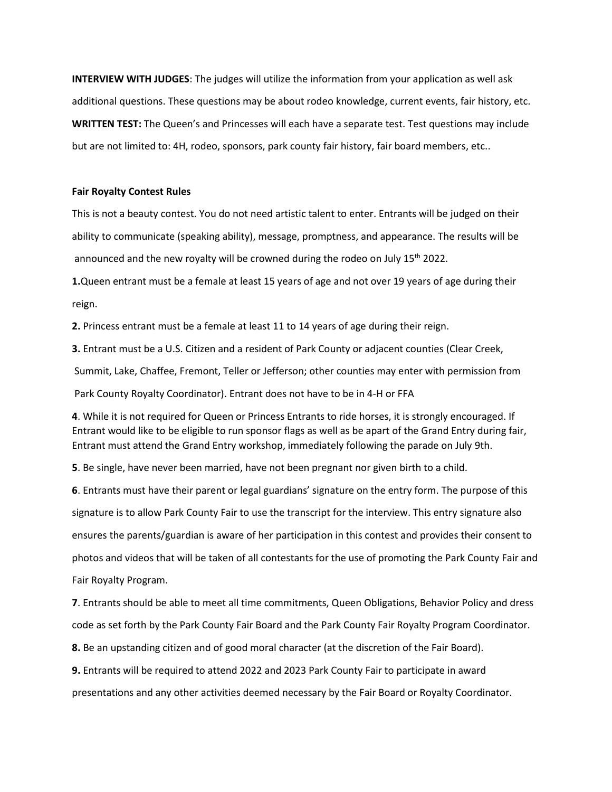**INTERVIEW WITH JUDGES**: The judges will utilize the information from your application as well ask additional questions. These questions may be about rodeo knowledge, current events, fair history, etc. **WRITTEN TEST:** The Queen's and Princesses will each have a separate test. Test questions may include but are not limited to: 4H, rodeo, sponsors, park county fair history, fair board members, etc..

#### **Fair Royalty Contest Rules**

This is not a beauty contest. You do not need artistic talent to enter. Entrants will be judged on their ability to communicate (speaking ability), message, promptness, and appearance. The results will be announced and the new royalty will be crowned during the rodeo on July  $15^{th}$  2022.

**1.**Queen entrant must be a female at least 15 years of age and not over 19 years of age during their reign.

**2.** Princess entrant must be a female at least 11 to 14 years of age during their reign.

**3.** Entrant must be a U.S. Citizen and a resident of Park County or adjacent counties (Clear Creek,

Summit, Lake, Chaffee, Fremont, Teller or Jefferson; other counties may enter with permission from

Park County Royalty Coordinator). Entrant does not have to be in 4-H or FFA

**4**. While it is not required for Queen or Princess Entrants to ride horses, it is strongly encouraged. If Entrant would like to be eligible to run sponsor flags as well as be apart of the Grand Entry during fair, Entrant must attend the Grand Entry workshop, immediately following the parade on July 9th.

**5**. Be single, have never been married, have not been pregnant nor given birth to a child.

**6**. Entrants must have their parent or legal guardians' signature on the entry form. The purpose of this signature is to allow Park County Fair to use the transcript for the interview. This entry signature also ensures the parents/guardian is aware of her participation in this contest and provides their consent to photos and videos that will be taken of all contestants for the use of promoting the Park County Fair and Fair Royalty Program.

**7**. Entrants should be able to meet all time commitments, Queen Obligations, Behavior Policy and dress code as set forth by the Park County Fair Board and the Park County Fair Royalty Program Coordinator.

**8.** Be an upstanding citizen and of good moral character (at the discretion of the Fair Board).

**9.** Entrants will be required to attend 2022 and 2023 Park County Fair to participate in award

presentations and any other activities deemed necessary by the Fair Board or Royalty Coordinator.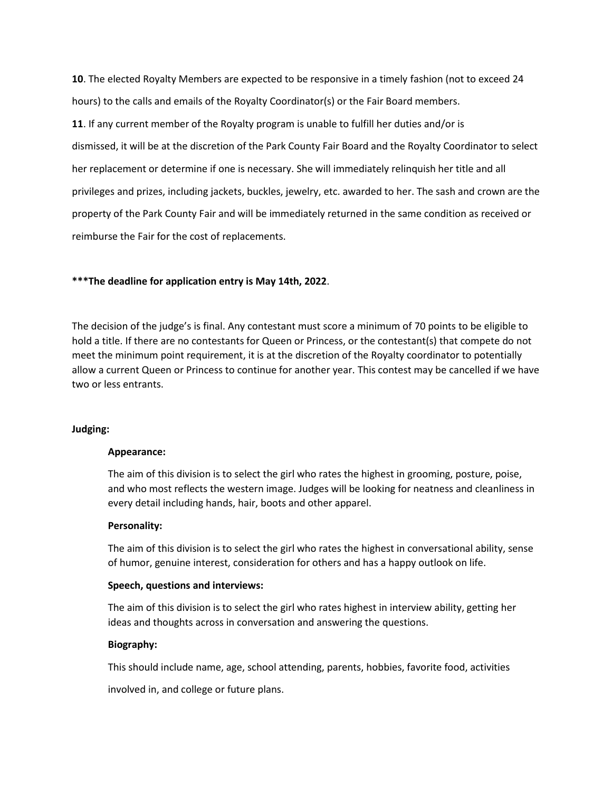**10**. The elected Royalty Members are expected to be responsive in a timely fashion (not to exceed 24 hours) to the calls and emails of the Royalty Coordinator(s) or the Fair Board members. **11**. If any current member of the Royalty program is unable to fulfill her duties and/or is dismissed, it will be at the discretion of the Park County Fair Board and the Royalty Coordinator to select her replacement or determine if one is necessary. She will immediately relinquish her title and all privileges and prizes, including jackets, buckles, jewelry, etc. awarded to her. The sash and crown are the property of the Park County Fair and will be immediately returned in the same condition as received or reimburse the Fair for the cost of replacements.

## **\*\*\*The deadline for application entry is May 14th, 2022**.

The decision of the judge's is final. Any contestant must score a minimum of 70 points to be eligible to hold a title. If there are no contestants for Queen or Princess, or the contestant(s) that compete do not meet the minimum point requirement, it is at the discretion of the Royalty coordinator to potentially allow a current Queen or Princess to continue for another year. This contest may be cancelled if we have two or less entrants.

### **Judging:**

### **Appearance:**

The aim of this division is to select the girl who rates the highest in grooming, posture, poise, and who most reflects the western image. Judges will be looking for neatness and cleanliness in every detail including hands, hair, boots and other apparel.

### **Personality:**

The aim of this division is to select the girl who rates the highest in conversational ability, sense of humor, genuine interest, consideration for others and has a happy outlook on life.

### **Speech, questions and interviews:**

The aim of this division is to select the girl who rates highest in interview ability, getting her ideas and thoughts across in conversation and answering the questions.

### **Biography:**

This should include name, age, school attending, parents, hobbies, favorite food, activities

involved in, and college or future plans.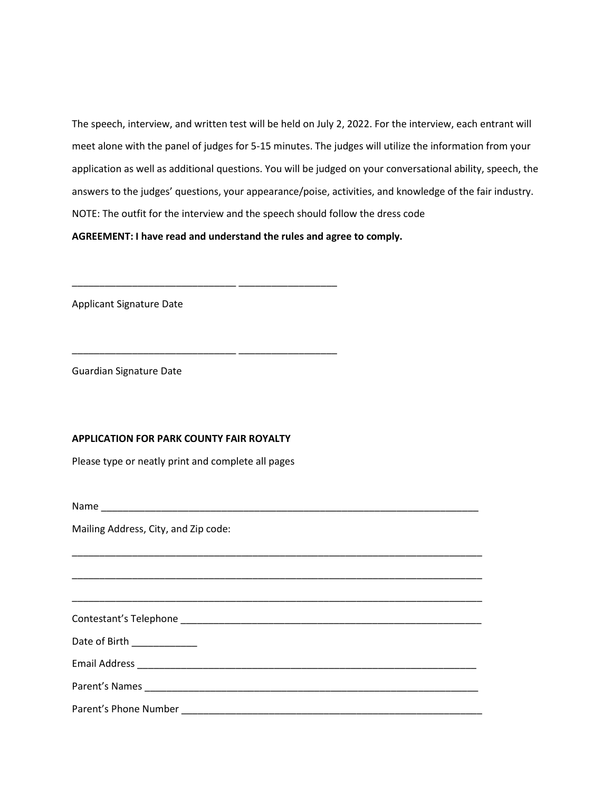The speech, interview, and written test will be held on July 2, 2022. For the interview, each entrant will meet alone with the panel of judges for 5-15 minutes. The judges will utilize the information from your application as well as additional questions. You will be judged on your conversational ability, speech, the answers to the judges' questions, your appearance/poise, activities, and knowledge of the fair industry. NOTE: The outfit for the interview and the speech should follow the dress code

**AGREEMENT: I have read and understand the rules and agree to comply.**

\_\_\_\_\_\_\_\_\_\_\_\_\_\_\_\_\_\_\_\_\_\_\_\_\_\_\_\_\_\_ \_\_\_\_\_\_\_\_\_\_\_\_\_\_\_\_\_\_

\_\_\_\_\_\_\_\_\_\_\_\_\_\_\_\_\_\_\_\_\_\_\_\_\_\_\_\_\_\_ \_\_\_\_\_\_\_\_\_\_\_\_\_\_\_\_\_\_

Applicant Signature Date

Guardian Signature Date

### **APPLICATION FOR PARK COUNTY FAIR ROYALTY**

Please type or neatly print and complete all pages

Name \_\_\_\_\_\_\_\_\_\_\_\_\_\_\_\_\_\_\_\_\_\_\_\_\_\_\_\_\_\_\_\_\_\_\_\_\_\_\_\_\_\_\_\_\_\_\_\_\_\_\_\_\_\_\_\_\_\_\_\_\_\_\_\_\_\_\_\_\_

Mailing Address, City, and Zip code:

| Date of Birth _____________ |  |
|-----------------------------|--|
|                             |  |
|                             |  |
| Parent's Phone Number       |  |

\_\_\_\_\_\_\_\_\_\_\_\_\_\_\_\_\_\_\_\_\_\_\_\_\_\_\_\_\_\_\_\_\_\_\_\_\_\_\_\_\_\_\_\_\_\_\_\_\_\_\_\_\_\_\_\_\_\_\_\_\_\_\_\_\_\_\_\_\_\_\_\_\_\_\_

\_\_\_\_\_\_\_\_\_\_\_\_\_\_\_\_\_\_\_\_\_\_\_\_\_\_\_\_\_\_\_\_\_\_\_\_\_\_\_\_\_\_\_\_\_\_\_\_\_\_\_\_\_\_\_\_\_\_\_\_\_\_\_\_\_\_\_\_\_\_\_\_\_\_\_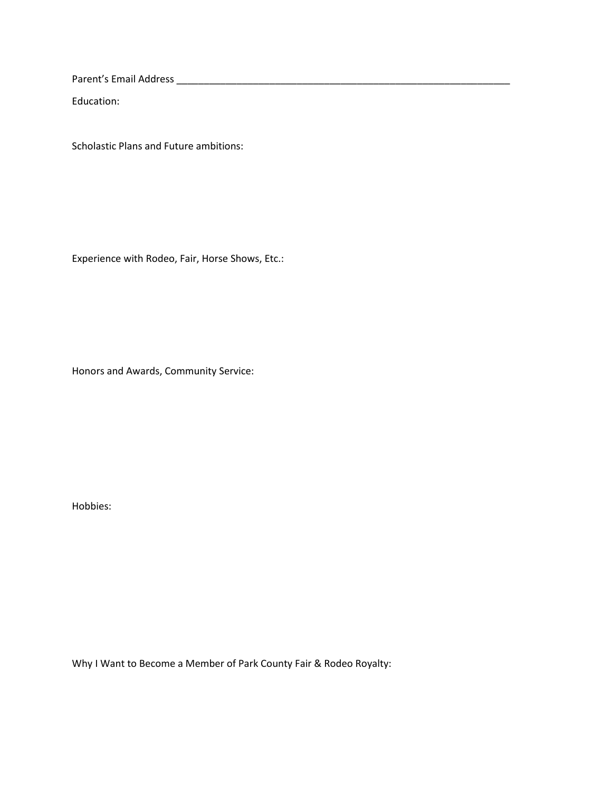Parent's Email Address \_\_\_\_\_\_\_\_\_\_\_\_\_\_\_\_\_\_\_\_\_\_\_\_\_\_\_\_\_\_\_\_\_\_\_\_\_\_\_\_\_\_\_\_\_\_\_\_\_\_\_\_\_\_\_\_\_\_\_\_\_

Education:

Scholastic Plans and Future ambitions:

Experience with Rodeo, Fair, Horse Shows, Etc.:

Honors and Awards, Community Service:

Hobbies:

Why I Want to Become a Member of Park County Fair & Rodeo Royalty: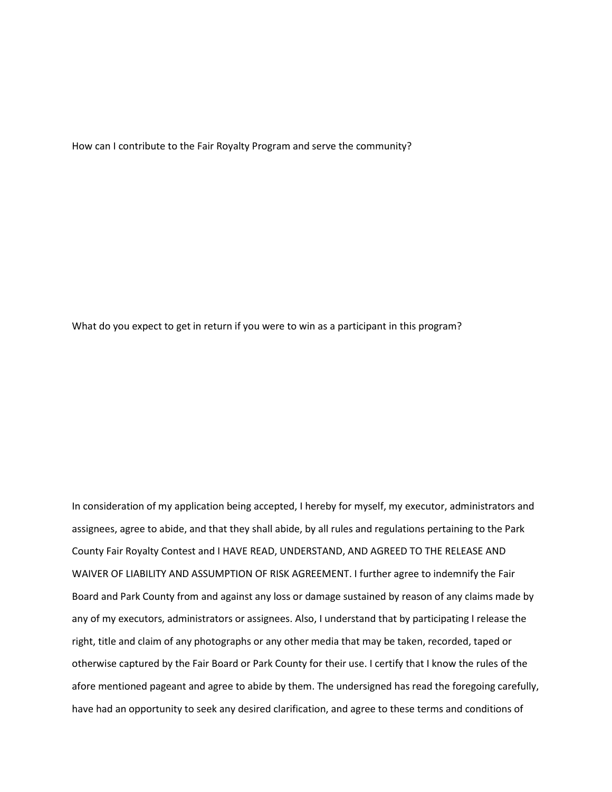How can I contribute to the Fair Royalty Program and serve the community?

What do you expect to get in return if you were to win as a participant in this program?

In consideration of my application being accepted, I hereby for myself, my executor, administrators and assignees, agree to abide, and that they shall abide, by all rules and regulations pertaining to the Park County Fair Royalty Contest and I HAVE READ, UNDERSTAND, AND AGREED TO THE RELEASE AND WAIVER OF LIABILITY AND ASSUMPTION OF RISK AGREEMENT. I further agree to indemnify the Fair Board and Park County from and against any loss or damage sustained by reason of any claims made by any of my executors, administrators or assignees. Also, I understand that by participating I release the right, title and claim of any photographs or any other media that may be taken, recorded, taped or otherwise captured by the Fair Board or Park County for their use. I certify that I know the rules of the afore mentioned pageant and agree to abide by them. The undersigned has read the foregoing carefully, have had an opportunity to seek any desired clarification, and agree to these terms and conditions of